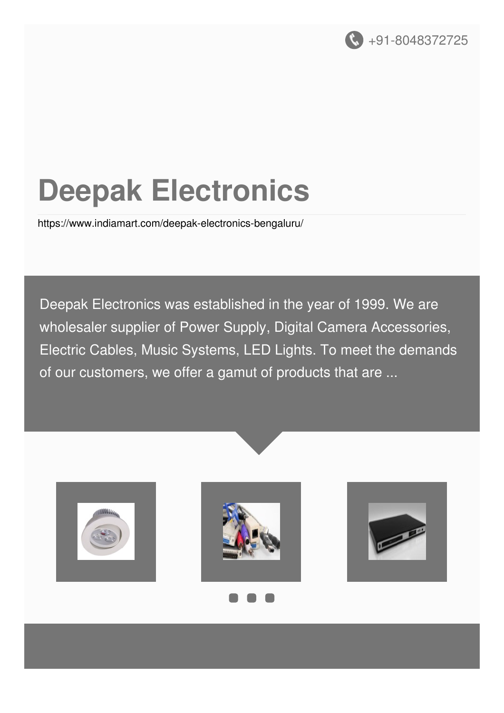

# **Deepak Electronics**

<https://www.indiamart.com/deepak-electronics-bengaluru/>

Deepak Electronics was established in the year of 1999. We are wholesaler supplier of Power Supply, Digital Camera Accessories, Electric Cables, Music Systems, LED Lights. To meet the demands of our customers, we offer a gamut of products that are ...









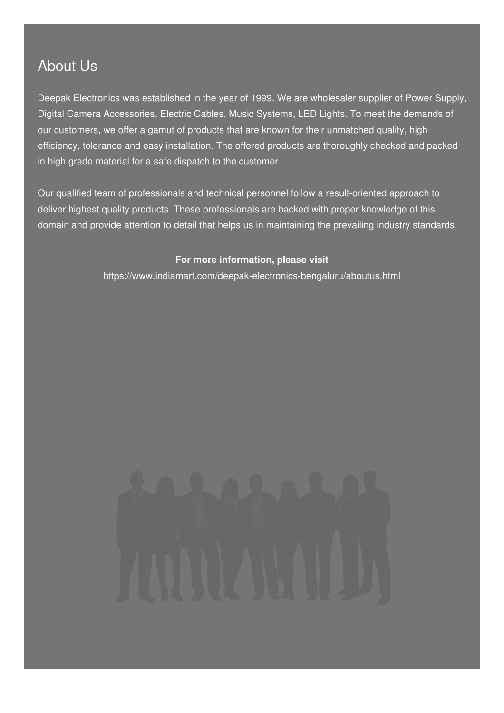### About Us

Deepak Electronics was established in the year of 1999. We are wholesaler supplier of Power Supply, Digital Camera Accessories, Electric Cables, Music Systems, LED Lights. To meet the demands of our customers, we offer a gamut of products that are known for their unmatched quality, high efficiency, tolerance and easy installation. The offered products are thoroughly checked and packed in high grade material for a safe dispatch to the customer.

Our qualified team of professionals and technical personnel follow a result-oriented approach to deliver highest quality products. These professionals are backed with proper knowledge of this domain and provide attention to detail that helps us in maintaining the prevailing industry standards.

#### **For more information, please visit**

<https://www.indiamart.com/deepak-electronics-bengaluru/aboutus.html>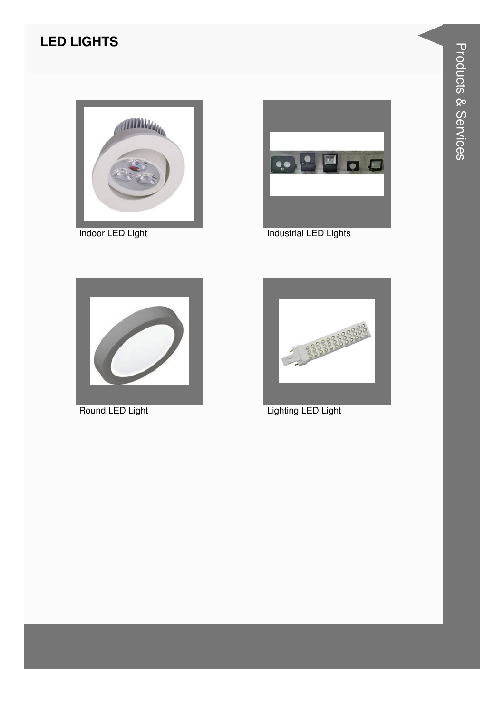#### **LED LIGHTS**



Indoor LED Light



**Industrial LED Lights** 



Round LED Light



Lighting LED Light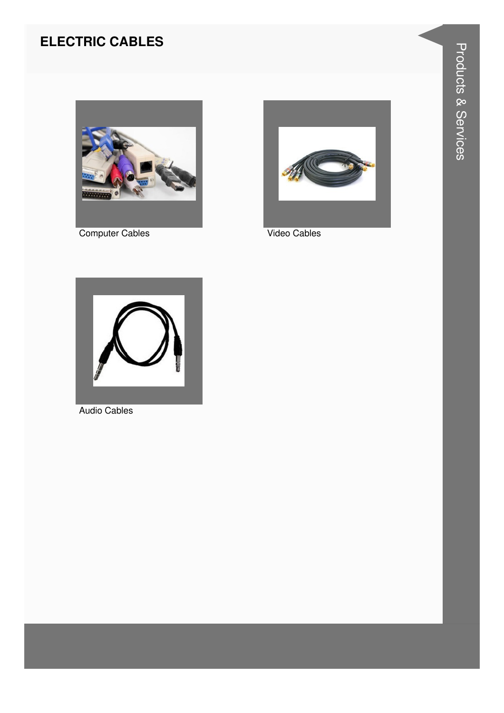#### **ELECTRIC CABLES**



**Computer Cables** 



Video Cables



**Audio Cables**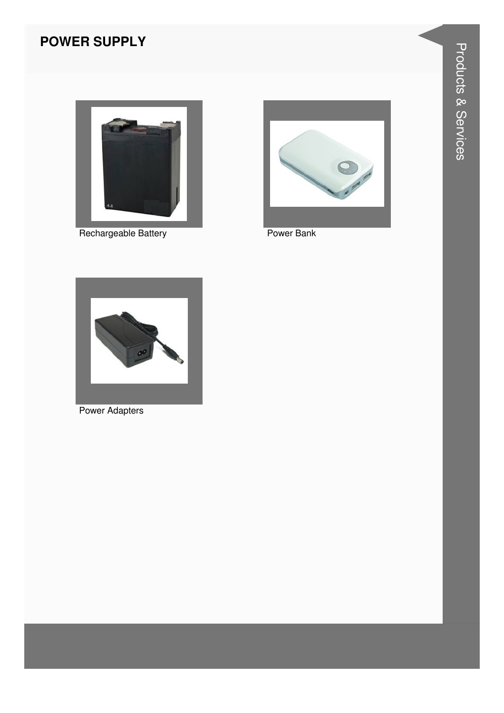#### **POWER SUPPLY**



Rechargeable Battery



Power Bank



**Power Adapters**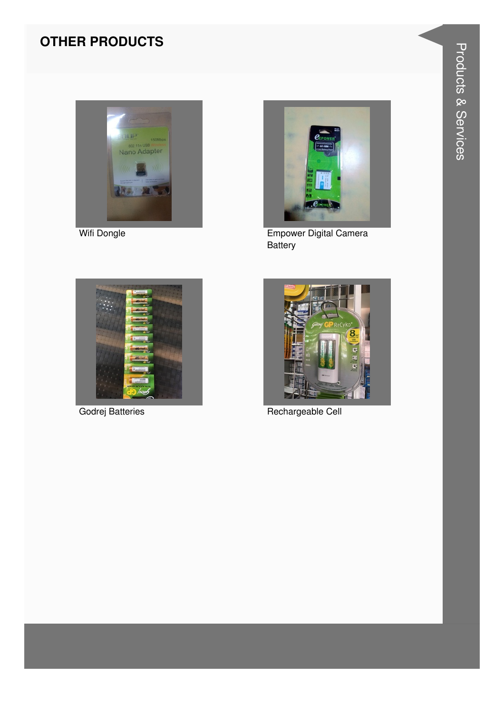#### **OTHER PRODUCTS**



Wifi Dongle



Empower Digital Camera Battery



Godrej Batteries



Rechargeable Cell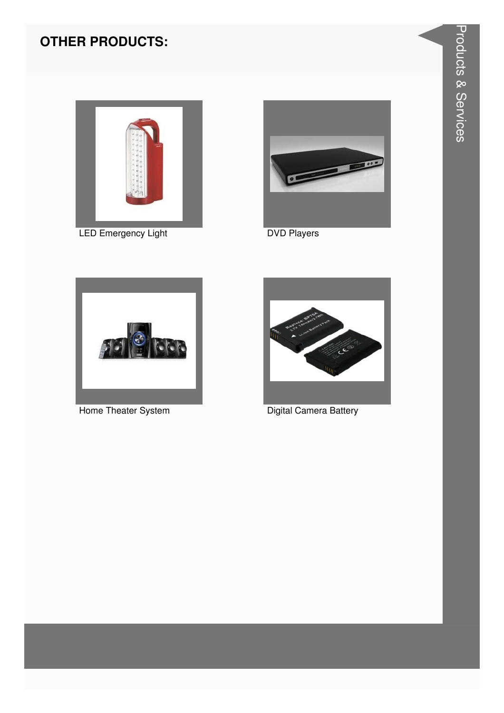#### **OTHER PRODUCTS:**



LED Emergency Light



**DVD Players** 



Home Theater System



Digital Camera Battery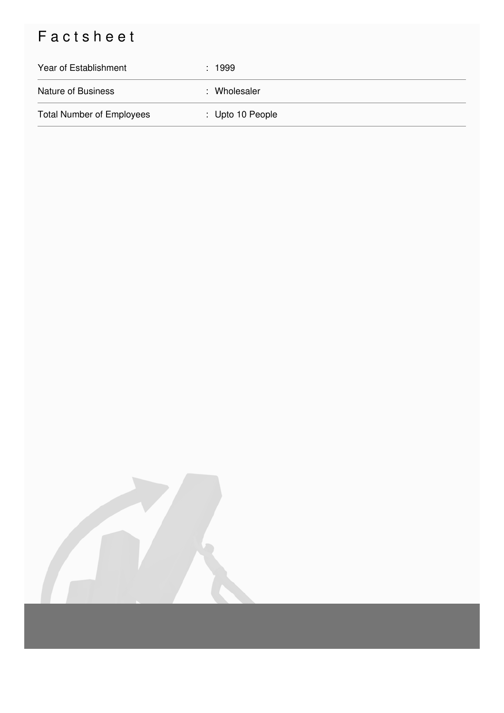## Factsheet

| Year of Establishment            | : 1999                      |
|----------------------------------|-----------------------------|
| <b>Nature of Business</b>        | : Wholesaler                |
| <b>Total Number of Employees</b> | $\therefore$ Upto 10 People |